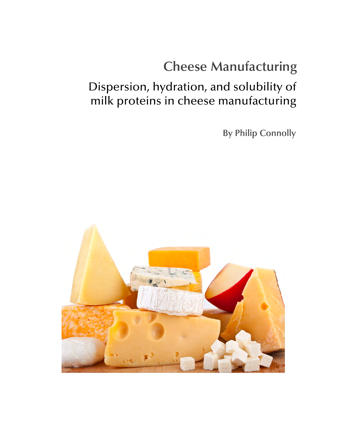# **Cheese Manufacturing**

## Dispersion, hydration, and solubility of milk proteins in cheese manufacturing

**By Philip Connolly** 

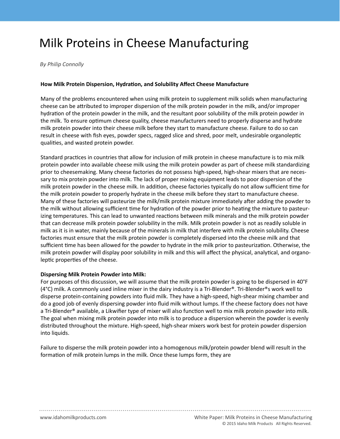## Milk Proteins in Cheese Manufacturing

*By Philip Connolly* 

### **How Milk Protein Dispersion, Hydration, and Solubility Affect Cheese Manufacture**

Many of the problems encountered when using milk protein to supplement milk solids when manufacturing cheese can be attributed to improper dispersion of the milk protein powder in the milk, and/or improper hydration of the protein powder in the milk, and the resultant poor solubility of the milk protein powder in the milk. To ensure optimum cheese quality, cheese manufacturers need to properly disperse and hydrate milk protein powder into their cheese milk before they start to manufacture cheese. Failure to do so can result in cheese with fish eyes, powder specs, ragged slice and shred, poor melt, undesirable organoleptic qualities, and wasted protein powder.

Standard practices in countries that allow for inclusion of milk protein in cheese manufacture is to mix milk protein powder into available cheese milk using the milk protein powder as part of cheese milk standardizing prior to cheesemaking. Many cheese factories do not possess high-speed, high-shear mixers that are necessary to mix protein powder into milk. The lack of proper mixing equipment leads to poor dispersion of the milk protein powder in the cheese milk. In addition, cheese factories typically do not allow sufficient time for the milk protein powder to properly hydrate in the cheese milk before they start to manufacture cheese. Many of these factories will pasteurize the milk/milk protein mixture immediately after adding the powder to the milk without allowing sufficient time for hydration of the powder prior to heating the mixture to pasteurizing temperatures. This can lead to unwanted reactions between milk minerals and the milk protein powder that can decrease milk protein powder solubility in the milk. Milk protein powder is not as readily soluble in milk as it is in water, mainly because of the minerals in milk that interfere with milk protein solubility. Cheese factories must ensure that the milk protein powder is completely dispersed into the cheese milk and that sufficient time has been allowed for the powder to hydrate in the milk prior to pasteurization. Otherwise, the milk protein powder will display poor solubility in milk and this will affect the physical, analytical, and organoleptic properties of the cheese.

#### **Dispersing Milk Protein Powder into Milk:**

For purposes of this discussion, we will assume that the milk protein powder is going to be dispersed in 40°F (4°C) milk. A commonly used inline mixer in the dairy industry is a Tri-Blender®. Tri-Blender®s work well to disperse protein-containing powders into fluid milk. They have a high-speed, high-shear mixing chamber and do a good job of evenly dispersing powder into fluid milk without lumps. If the cheese factory does not have a Tri-Blender<sup>®</sup> available, a Likwifier type of mixer will also function well to mix milk protein powder into milk. The goal when mixing milk protein powder into milk is to produce a dispersion wherein the powder is evenly distributed throughout the mixture. High-speed, high-shear mixers work best for protein powder dispersion into liquids.

Failure to disperse the milk protein powder into a homogenous milk/protein powder blend will result in the formation of milk protein lumps in the milk. Once these lumps form, they are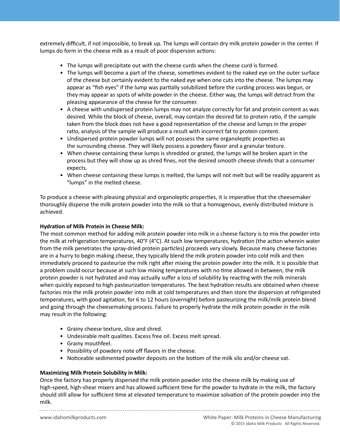extremely difficult, if not impossible, to break up. The lumps will contain dry milk protein powder in the center. If lumps do form in the cheese milk as a result of poor dispersion actions:

- The lumps will precipitate out with the cheese curds when the cheese curd is formed.
- appear as "fish eyes" if the lump was partially solubilized before the curding process was begun, or • The lumps will become a part of the cheese, sometimes evident to the naked eye on the outer surface of the cheese but certainly evident to the naked eye when one cuts into the cheese. The lumps may they may appear as spots of white powder in the cheese. Either way, the lumps will detract from the pleasing appearance of the cheese for the consumer.
	- A cheese with undispersed protein lumps may not analyze correctly for fat and protein content as was desired. While the block of cheese, overall, may contain the desired fat to protein ratio, if the sample taken from the block does not have a good representation of the cheese and lumps in the proper ratio, analysis of the sample will produce a result with incorrect fat to protein content.
	- Undispersed protein powder lumps will not possess the same organoleptic properties as the surrounding cheese. They will likely possess a powdery flavor and a granular texture.
	- When cheese containing these lumps is shredded or grated, the lumps will be broken apart in the process but they will show up as shred fines, not the desired smooth cheese shreds that a consumer expects.
	- When cheese containing these lumps is melted, the lumps will not melt but will be readily apparent as "lumps" in the melted cheese.

To produce a cheese with pleasing physical and organoleptic properties, it is imperative that the cheesemaker thoroughly disperse the milk protein powder into the milk so that a homogenous, evenly distributed mixture is achieved.

### **Hydration of Milk Protein in Cheese Milk:**

The most common method for adding milk protein powder into milk in a cheese factory is to mix the powder into the milk at refrigeration temperatures, 40°F (4°C). At such low temperatures, hydration (the action wherein water from the milk penetrates the spray-dried protein particles) proceeds very slowly. Because many cheese factories are in a hurry to begin making cheese, they typically blend the milk protein powder into cold milk and then immediately proceed to pasteurize the milk right after mixing the protein powder into the milk. It is possible that a problem could occur because at such low mixing temperatures with no time allowed in between, the milk protein powder is not hydrated and may actually suffer a loss of solubility by reacting with the milk minerals when quickly exposed to high pasteurization temperatures. The best hydration results are obtained when cheese factories mix the milk protein powder into milk at cold temperatures and then store the dispersion at refrigerated temperatures, with good agitation, for 6 to 12 hours (overnight) before pasteurizing the milk/milk protein blend and going through the cheesemaking process. Failure to properly hydrate the milk protein powder in the milk may result in the following:

- Grainy cheese texture, slice and shred.
- Undesirable melt qualities. Excess free oil. Excess melt spread.
- Grainy mouthfeel.
- Possibility of powdery note off flavors in the cheese.
- Noticeable sedimented powder deposits on the bottom of the milk silo and/or cheese vat.

### **Maximizing Milk Protein Solubility in Milk:**

Once the factory has properly dispersed the milk protein powder into the cheese milk by making use of high-speed, high-shear mixers and has allowed sufficient time for the powder to hydrate in the milk, the factory should still allow for sufficient time at elevated temperature to maximize solvation of the protein powder into the milk.